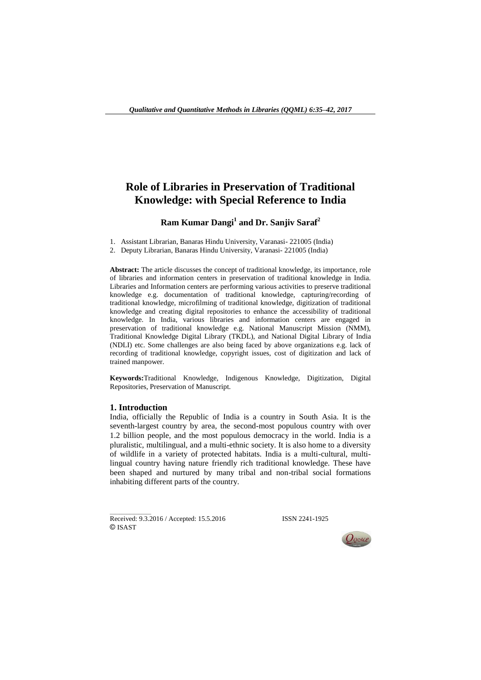# **Role of Libraries in Preservation of Traditional Knowledge: with Special Reference to India**

# **Ram Kumar Dangi<sup>1</sup> and Dr. Sanjiv Saraf<sup>2</sup>**

1. Assistant Librarian, Banaras Hindu University, Varanasi- 221005 (India)

2. Deputy Librarian, Banaras Hindu University, Varanasi- 221005 (India)

**Abstract:** The article discusses the concept of traditional knowledge, its importance, role of libraries and information centers in preservation of traditional knowledge in India. Libraries and Information centers are performing various activities to preserve traditional knowledge e.g. documentation of traditional knowledge, capturing/recording of traditional knowledge, microfilming of traditional knowledge, digitization of traditional knowledge and creating digital repositories to enhance the accessibility of traditional knowledge. In India, various libraries and information centers are engaged in preservation of traditional knowledge e.g. National Manuscript Mission (NMM), Traditional Knowledge Digital Library (TKDL), and National Digital Library of India (NDLI) etc. Some challenges are also being faced by above organizations e.g. lack of recording of traditional knowledge, copyright issues, cost of digitization and lack of trained manpower.

**Keywords:**Traditional Knowledge, Indigenous Knowledge, Digitization, Digital Repositories, Preservation of Manuscript.

#### **1. Introduction**

 $\overline{\phantom{a}}$  , where  $\overline{\phantom{a}}$ 

India, officially the Republic of India is a country in South Asia. It is the seventh-largest country by area, the second-most populous country with over 1.2 billion people, and the most populous democracy in the world. India is a pluralistic, multilingual, and a multi-ethnic society. It is also home to a diversity of wildlife in a variety of protected habitats. India is a multi-cultural, multilingual country having nature friendly rich traditional knowledge. These have been shaped and nurtured by many tribal and non-tribal social formations inhabiting different parts of the country.

Received: 9.3.2016 / Accepted: 15.5.2016 ISSN 2241-1925 © ISAST

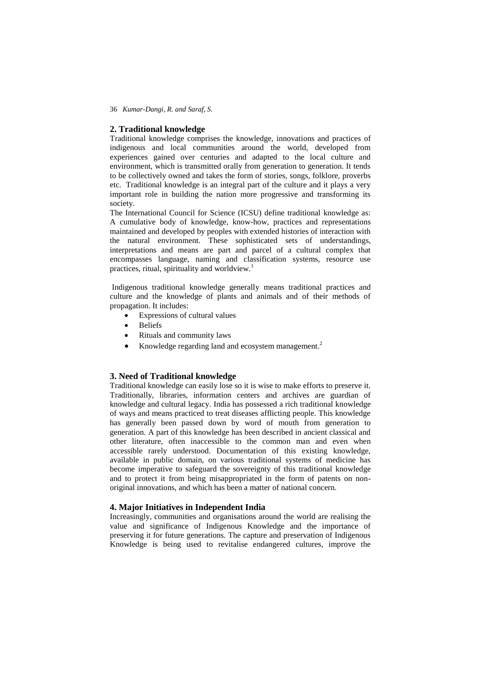36 *Kumar-Dangi, R. and Saraf, S.* 

#### **2. Traditional knowledge**

Traditional knowledge comprises the knowledge, innovations and practices of indigenous and local communities around the world, developed from experiences gained over centuries and adapted to the local culture and environment, which is transmitted orally from generation to generation. It tends to be collectively owned and takes the form of stories, songs, folklore, proverbs etc. Traditional knowledge is an integral part of the culture and it plays a very important role in building the nation more progressive and transforming its society.

The International Council for Science (ICSU) define traditional knowledge as: A cumulative body of knowledge, know-how, practices and representations maintained and developed by peoples with extended histories of interaction with the natural environment. These sophisticated sets of understandings, interpretations and means are part and parcel of a cultural complex that encompasses language, naming and classification systems, resource use practices, ritual, spirituality and worldview.<sup>1</sup>

Indigenous traditional knowledge generally means traditional practices and culture and the knowledge of plants and animals and of their methods of propagation. It includes:

- Expressions of cultural values
- Beliefs
- Rituals and community laws
- Knowledge regarding land and ecosystem management.<sup>2</sup>

### **3. Need of Traditional knowledge**

Traditional knowledge can easily lose so it is wise to make efforts to preserve it. Traditionally, libraries, information centers and archives are guardian of knowledge and cultural legacy. India has possessed a rich traditional knowledge of ways and means practiced to treat diseases afflicting people. This knowledge has generally been passed down by word of mouth from generation to generation. A part of this knowledge has been described in ancient classical and other literature, often inaccessible to the common man and even when accessible rarely understood. Documentation of this existing knowledge, available in public domain, on various traditional systems of medicine has become imperative to safeguard the sovereignty of this traditional knowledge and to protect it from being misappropriated in the form of patents on nonoriginal innovations, and which has been a matter of national concern.

#### **4. Major Initiatives in Independent India**

Increasingly, communities and organisations around the world are realising the value and significance of Indigenous Knowledge and the importance of preserving it for future generations. The capture and preservation of Indigenous Knowledge is being used to revitalise endangered cultures, improve the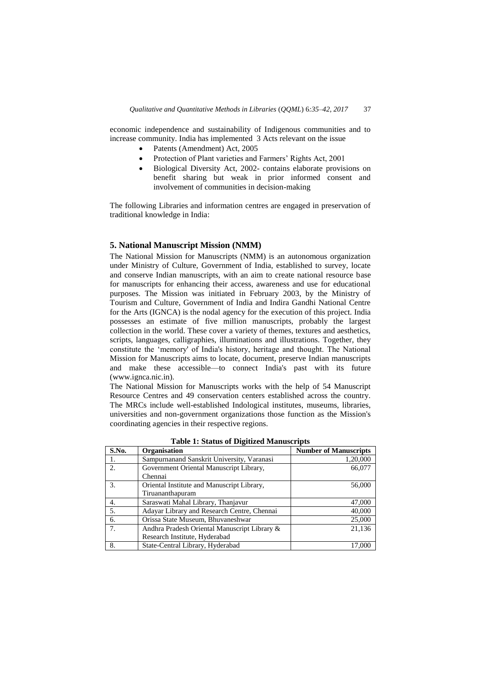economic independence and sustainability of Indigenous communities and to increase community. India has implemented 3 Acts relevant on the issue

- Patents (Amendment) Act, 2005
- Protection of Plant varieties and Farmers' Rights Act, 2001
- Biological Diversity Act, 2002- contains elaborate provisions on benefit sharing but weak in prior informed consent and involvement of communities in decision-making

The following Libraries and information centres are engaged in preservation of traditional knowledge in India:

### **5. National Manuscript Mission (NMM)**

The National Mission for Manuscripts (NMM) is an autonomous organization under Ministry of Culture, Government of India, established to survey, locate and conserve Indian manuscripts, with an aim to create national resource base for manuscripts for enhancing their access, awareness and use for educational purposes. The Mission was initiated in February 2003, by the Ministry of Tourism and Culture, Government of India and Indira Gandhi National Centre for the Arts (IGNCA) is the nodal agency for the execution of this project. India possesses an estimate of five million manuscripts, probably the largest collection in the world. These cover a variety of themes, textures and aesthetics, scripts, languages, calligraphies, illuminations and illustrations. Together, they constitute the 'memory' of India's history, heritage and thought. The National Mission for Manuscripts aims to locate, document, preserve Indian manuscripts and make these accessible—to connect India's past with its future (www.ignca.nic.in).

The National Mission for Manuscripts works with the help of 54 Manuscript Resource Centres and 49 conservation centers established across the country. The MRCs include well-established Indological institutes, museums, libraries, universities and non-government organizations those function as the Mission's coordinating agencies in their respective regions.

| S.No. | Organisation                                 | <b>Number of Manuscripts</b> |
|-------|----------------------------------------------|------------------------------|
|       | Sampurnanand Sanskrit University, Varanasi   | 1,20,000                     |
| 2.    | Government Oriental Manuscript Library,      | 66,077                       |
|       | Chennai                                      |                              |
| 3.    | Oriental Institute and Manuscript Library,   | 56,000                       |
|       | Tiruananthapuram                             |                              |
| 4.    | Saraswati Mahal Library, Thanjavur           | 47,000                       |
| 5.    | Adayar Library and Research Centre, Chennai  | 40,000                       |
| 6.    | Orissa State Museum, Bhuvaneshwar            | 25,000                       |
| 7.    | Andhra Pradesh Oriental Manuscript Library & | 21,136                       |
|       | Research Institute, Hyderabad                |                              |
| 8.    | State-Central Library, Hyderabad             | 17,000                       |

**Table 1: Status of Digitized Manuscripts**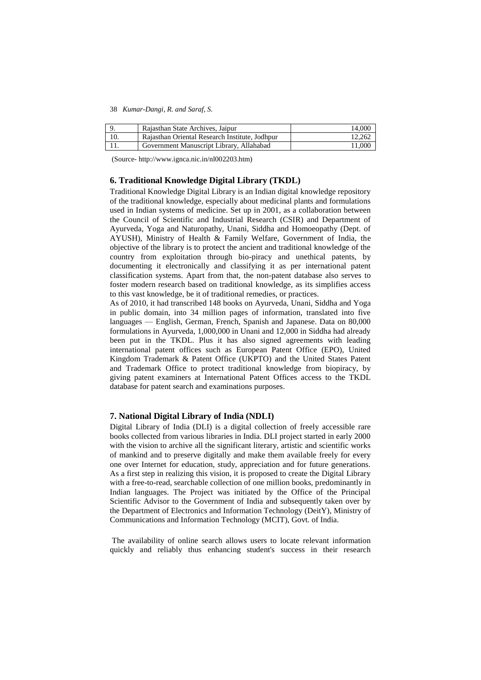38 *Kumar-Dangi, R. and Saraf, S.* 

| Rajasthan State Archives, Jaipur               | 14.000 |
|------------------------------------------------|--------|
| Rajasthan Oriental Research Institute, Jodhpur | 12.262 |
| Government Manuscript Library, Allahabad       | 11.000 |

(Source- http://www.ignca.nic.in/nl002203.htm)

### **6. Traditional Knowledge Digital Library (TKDL)**

Traditional Knowledge Digital Library is an Indian digital knowledge repository of the traditional knowledge, especially about medicinal plants and formulations used in Indian systems of medicine. Set up in 2001, as a collaboration between the Council of Scientific and Industrial Research (CSIR) and Department of Ayurveda, Yoga and Naturopathy, Unani, Siddha and Homoeopathy (Dept. of AYUSH), Ministry of Health & Family Welfare, Government of India, the objective of the library is to protect the ancient and traditional knowledge of the country from exploitation through bio-piracy and unethical patents, by documenting it electronically and classifying it as per international patent classification systems. Apart from that, the non-patent database also serves to foster modern research based on traditional knowledge, as its simplifies access to this vast knowledge, be it of traditional remedies, or practices.

As of 2010, it had transcribed 148 books on Ayurveda, Unani, Siddha and Yoga in public domain, into 34 million pages of information, translated into five languages — English, German, French, Spanish and Japanese. Data on 80,000 formulations in Ayurveda, 1,000,000 in Unani and 12,000 in Siddha had already been put in the TKDL. Plus it has also signed agreements with leading international patent offices such as European Patent Office (EPO), United Kingdom Trademark & Patent Office (UKPTO) and the United States Patent and Trademark Office to protect traditional knowledge from biopiracy, by giving patent examiners at International Patent Offices access to the TKDL database for patent search and examinations purposes.

### **7. National Digital Library of India (NDLI)**

Digital Library of India (DLI) is a digital collection of freely accessible rare books collected from various libraries in India. DLI project started in early 2000 with the vision to archive all the significant literary, artistic and scientific works of mankind and to preserve digitally and make them available freely for every one over Internet for education, study, appreciation and for future generations. As a first step in realizing this vision, it is proposed to create the Digital Library with a free-to-read, searchable collection of one million books, predominantly in Indian languages. The Project was initiated by the Office of the Principal Scientific Advisor to the Government of India and subsequently taken over by the Department of Electronics and Information Technology (DeitY), Ministry of Communications and Information Technology (MCIT), Govt. of India.

The availability of online search allows users to locate relevant information quickly and reliably thus enhancing student's success in their research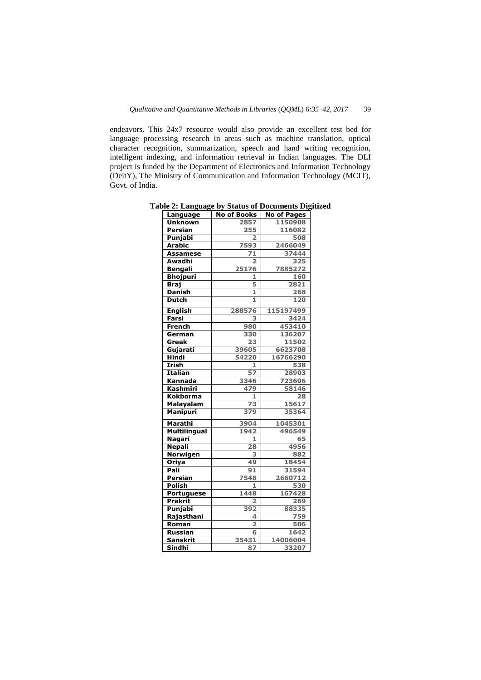endeavors. This 24x7 resource would also provide an excellent test bed for language processing research in areas such as machine translation, optical character recognition, summarization, speech and hand writing recognition, intelligent indexing, and information retrieval in Indian languages. The DLI project is funded by the Department of Electronics and Information Technology (DeitY), The Ministry of Communication and Information Technology (MCIT), Govt. of India.

| Language            | <b>No of Books</b>      | <b>No of Pages</b> |
|---------------------|-------------------------|--------------------|
| <b>Unknown</b>      | 2857                    | 1150908            |
| <b>Persian</b>      | 255                     | 116082             |
| Punjabi             | 2                       | 508                |
| <b>Arabic</b>       | 7593                    | 2466049            |
| <b>Assamese</b>     | 71                      | 37444              |
| Awadhi              | 2                       | 325                |
| <b>Bengali</b>      | 25176                   | 7885272            |
| <b>Bhojpuri</b>     | 1                       | 160                |
| <b>Braj</b>         | 5                       | 2821               |
| <b>Danish</b>       | 1                       | 268                |
| <b>Dutch</b>        | $\mathbf{1}$            | 120                |
| <b>English</b>      | 288576                  | 115197499          |
| Farsi               | 3                       | 3424               |
| <b>French</b>       | 980                     | 453410             |
| German              | 330                     | 136207             |
| Greek               | 23                      | 11502              |
| Gujarati            | 39605                   | 6623708            |
| Hindi               | 54220                   | 16766290           |
| Irish               | 1                       | 538                |
| <b>Italian</b>      | 57                      | 28903              |
| Kannada             | 3346                    | 723606             |
| <b>Kashmiri</b>     | 479                     | 58146              |
| Kokborma            | 1                       | 28                 |
| Malayalam           | $\overline{73}$         | 15617              |
| <b>Manipuri</b>     | 379                     | 35364              |
| <b>Marathi</b>      | 3904                    | 1045301            |
| <b>Multilingual</b> | 1942                    | 496549             |
| <u>Nagari</u>       | 1                       | 65                 |
| <b>Nepali</b>       | 28                      | 4956               |
| Norwigen            | 3                       | 882                |
| Oriya               | 49                      | 18454              |
| Pali                | 91                      | 31594              |
| Persian             | 7548                    | 2660712            |
| Polish              | 1                       | 530                |
| Portuguese          | 1448                    | 167428             |
| <b>Prakrit</b>      | $\overline{\mathbf{2}}$ | 269                |
| Punjabi             | 392                     | 88335              |
| Rajasthani          | 4                       | 759                |
| Roman               | $\overline{2}$          | 506                |
| <b>Russian</b>      | 6                       | 1642               |
| <b>Sanskrit</b>     | 35431                   | 14006004           |
| Sindhi              | 87                      | 33207              |

**Table 2: Language by Status of Documents Digitized**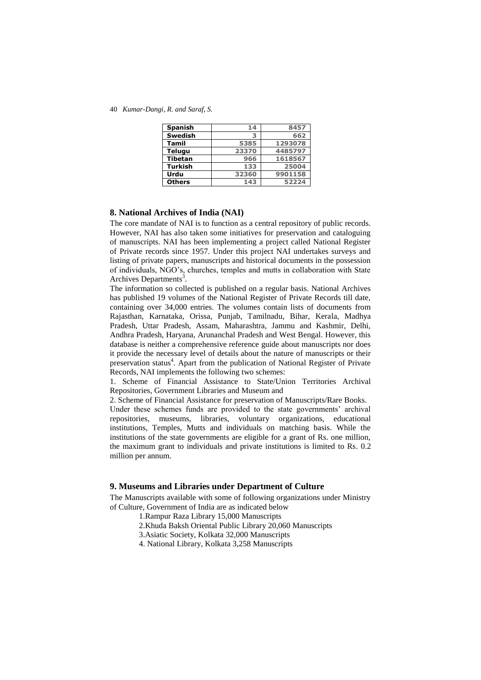40 *Kumar-Dangi, R. and Saraf, S.* 

| <b>Spanish</b> | 14    | 8457    |
|----------------|-------|---------|
| <b>Swedish</b> |       | 662     |
| <b>Tamil</b>   | 5385  | 1293078 |
| <b>Telugu</b>  | 23370 | 4485797 |
| <b>Tibetan</b> | 966   | 1618567 |
| Turkish        | 133   | 25004   |
| Urdu           | 32360 | 9901158 |
| <b>Others</b>  | 143   | 52224   |

#### **8. National Archives of India (NAI)**

The core mandate of NAI is to function as a central repository of public records. However, NAI has also taken some initiatives for preservation and cataloguing of manuscripts. NAI has been implementing a project called National Register of Private records since 1957. Under this project NAI undertakes surveys and listing of private papers, manuscripts and historical documents in the possession of individuals, NGO's, churches, temples and mutts in collaboration with State Archives Departments<sup>3</sup>.

The information so collected is published on a regular basis. National Archives has published 19 volumes of the National Register of Private Records till date, containing over 34,000 entries. The volumes contain lists of documents from Rajasthan, Karnataka, Orissa, Punjab, Tamilnadu, Bihar, Kerala, Madhya Pradesh, Uttar Pradesh, Assam, Maharashtra, Jammu and Kashmir, Delhi, Andhra Pradesh, Haryana, Arunanchal Pradesh and West Bengal. However, this database is neither a comprehensive reference guide about manuscripts nor does it provide the necessary level of details about the nature of manuscripts or their preservation status<sup>4</sup>. Apart from the publication of National Register of Private Records, NAI implements the following two schemes:

1. Scheme of Financial Assistance to State/Union Territories Archival Repositories, Government Libraries and Museum and

2. Scheme of Financial Assistance for preservation of Manuscripts/Rare Books.

Under these schemes funds are provided to the state governments' archival repositories, museums, libraries, voluntary organizations, educational institutions, Temples, Mutts and individuals on matching basis. While the institutions of the state governments are eligible for a grant of Rs. one million, the maximum grant to individuals and private institutions is limited to Rs. 0.2 million per annum.

#### **9. Museums and Libraries under Department of Culture**

The Manuscripts available with some of following organizations under Ministry of Culture, Government of India are as indicated below

- 1.Rampur Raza Library 15,000 Manuscripts
- 2.Khuda Baksh Oriental Public Library 20,060 Manuscripts
- 3.Asiatic Society, Kolkata 32,000 Manuscripts
- 4. National Library, Kolkata 3,258 Manuscripts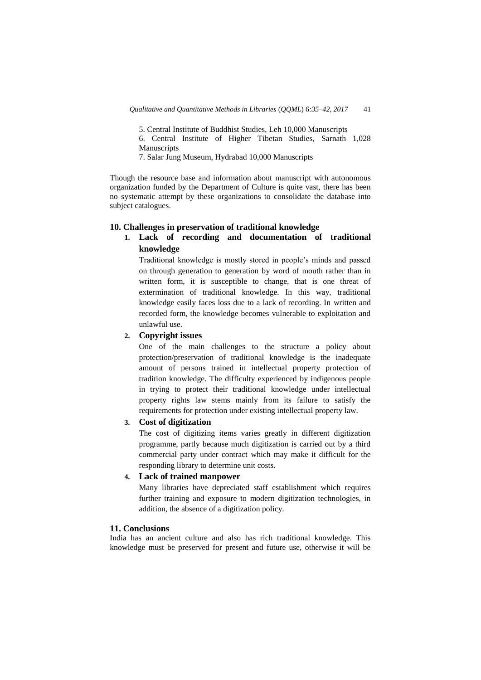5. Central Institute of Buddhist Studies, Leh 10,000 Manuscripts

6. Central Institute of Higher Tibetan Studies, Sarnath 1,028 **Manuscripts** 

7. Salar Jung Museum, Hydrabad 10,000 Manuscripts

Though the resource base and information about manuscript with autonomous organization funded by the Department of Culture is quite vast, there has been no systematic attempt by these organizations to consolidate the database into subject catalogues.

#### **10. Challenges in preservation of traditional knowledge**

# **1. Lack of recording and documentation of traditional knowledge**

Traditional knowledge is mostly stored in people's minds and passed on through generation to generation by word of mouth rather than in written form, it is susceptible to change, that is one threat of extermination of traditional knowledge. In this way, traditional knowledge easily faces loss due to a lack of recording. In written and recorded form, the knowledge becomes vulnerable to exploitation and unlawful use.

#### **2. Copyright issues**

One of the main challenges to the structure a policy about protection/preservation of traditional knowledge is the inadequate amount of persons trained in intellectual property protection of tradition knowledge. The difficulty experienced by indigenous people in trying to protect their traditional knowledge under intellectual property rights law stems mainly from its failure to satisfy the requirements for protection under existing intellectual property law.

# **3. Cost of digitization**

The cost of digitizing items varies greatly in different digitization programme, partly because much digitization is carried out by a third commercial party under contract which may make it difficult for the responding library to determine unit costs.

### **4. Lack of trained manpower**

Many libraries have depreciated staff establishment which requires further training and exposure to modern digitization technologies, in addition, the absence of a digitization policy.

### **11. Conclusions**

India has an ancient culture and also has rich traditional knowledge. This knowledge must be preserved for present and future use, otherwise it will be